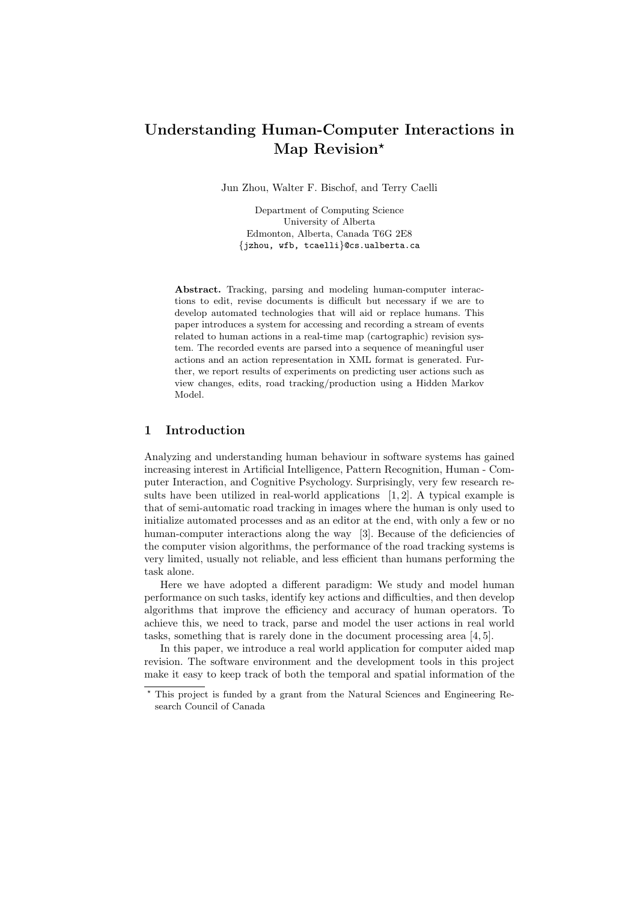# Understanding Human-Computer Interactions in Map Revision\*

Jun Zhou, Walter F. Bischof, and Terry Caelli

Department of Computing Science University of Alberta Edmonton, Alberta, Canada T6G 2E8 {jzhou, wfb, tcaelli}@cs.ualberta.ca

Abstract. Tracking, parsing and modeling human-computer interactions to edit, revise documents is difficult but necessary if we are to develop automated technologies that will aid or replace humans. This paper introduces a system for accessing and recording a stream of events related to human actions in a real-time map (cartographic) revision system. The recorded events are parsed into a sequence of meaningful user actions and an action representation in XML format is generated. Further, we report results of experiments on predicting user actions such as view changes, edits, road tracking/production using a Hidden Markov Model.

## 1 Introduction

Analyzing and understanding human behaviour in software systems has gained increasing interest in Artificial Intelligence, Pattern Recognition, Human - Computer Interaction, and Cognitive Psychology. Surprisingly, very few research results have been utilized in real-world applications [1, 2]. A typical example is that of semi-automatic road tracking in images where the human is only used to initialize automated processes and as an editor at the end, with only a few or no human-computer interactions along the way [3]. Because of the deficiencies of the computer vision algorithms, the performance of the road tracking systems is very limited, usually not reliable, and less efficient than humans performing the task alone.

Here we have adopted a different paradigm: We study and model human performance on such tasks, identify key actions and difficulties, and then develop algorithms that improve the efficiency and accuracy of human operators. To achieve this, we need to track, parse and model the user actions in real world tasks, something that is rarely done in the document processing area [4, 5].

In this paper, we introduce a real world application for computer aided map revision. The software environment and the development tools in this project make it easy to keep track of both the temporal and spatial information of the

<sup>?</sup> This project is funded by a grant from the Natural Sciences and Engineering Research Council of Canada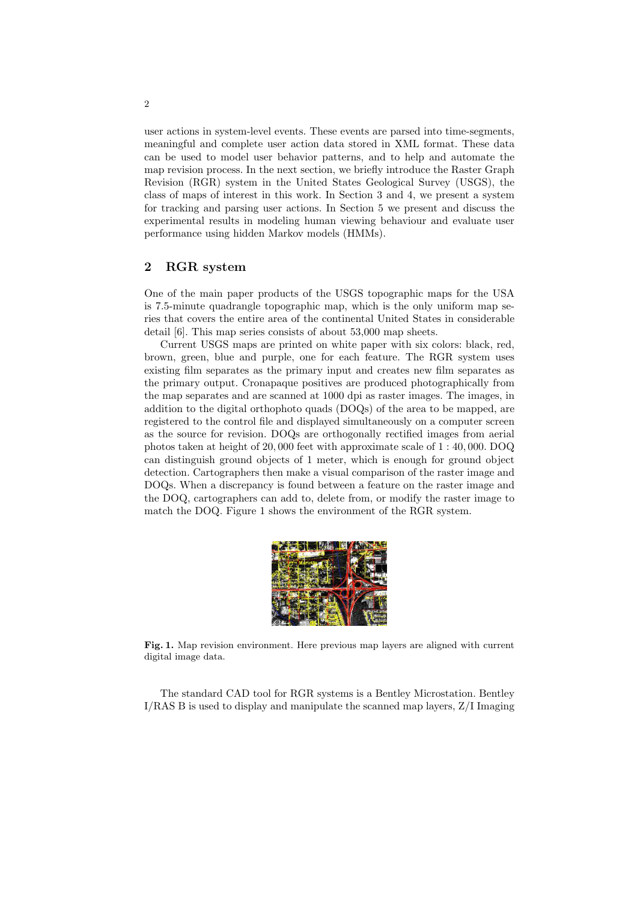user actions in system-level events. These events are parsed into time-segments, meaningful and complete user action data stored in XML format. These data can be used to model user behavior patterns, and to help and automate the map revision process. In the next section, we briefly introduce the Raster Graph Revision (RGR) system in the United States Geological Survey (USGS), the class of maps of interest in this work. In Section 3 and 4, we present a system for tracking and parsing user actions. In Section 5 we present and discuss the experimental results in modeling human viewing behaviour and evaluate user performance using hidden Markov models (HMMs).

#### 2 RGR system

One of the main paper products of the USGS topographic maps for the USA is 7.5-minute quadrangle topographic map, which is the only uniform map series that covers the entire area of the continental United States in considerable detail [6]. This map series consists of about 53,000 map sheets.

Current USGS maps are printed on white paper with six colors: black, red, brown, green, blue and purple, one for each feature. The RGR system uses existing film separates as the primary input and creates new film separates as the primary output. Cronapaque positives are produced photographically from the map separates and are scanned at 1000 dpi as raster images. The images, in addition to the digital orthophoto quads (DOQs) of the area to be mapped, are registered to the control file and displayed simultaneously on a computer screen as the source for revision. DOQs are orthogonally rectified images from aerial photos taken at height of 20, 000 feet with approximate scale of 1 : 40, 000. DOQ can distinguish ground objects of 1 meter, which is enough for ground object detection. Cartographers then make a visual comparison of the raster image and DOQs. When a discrepancy is found between a feature on the raster image and the DOQ, cartographers can add to, delete from, or modify the raster image to match the DOQ. Figure 1 shows the environment of the RGR system.



Fig. 1. Map revision environment. Here previous map layers are aligned with current digital image data.

The standard CAD tool for RGR systems is a Bentley Microstation. Bentley I/RAS B is used to display and manipulate the scanned map layers, Z/I Imaging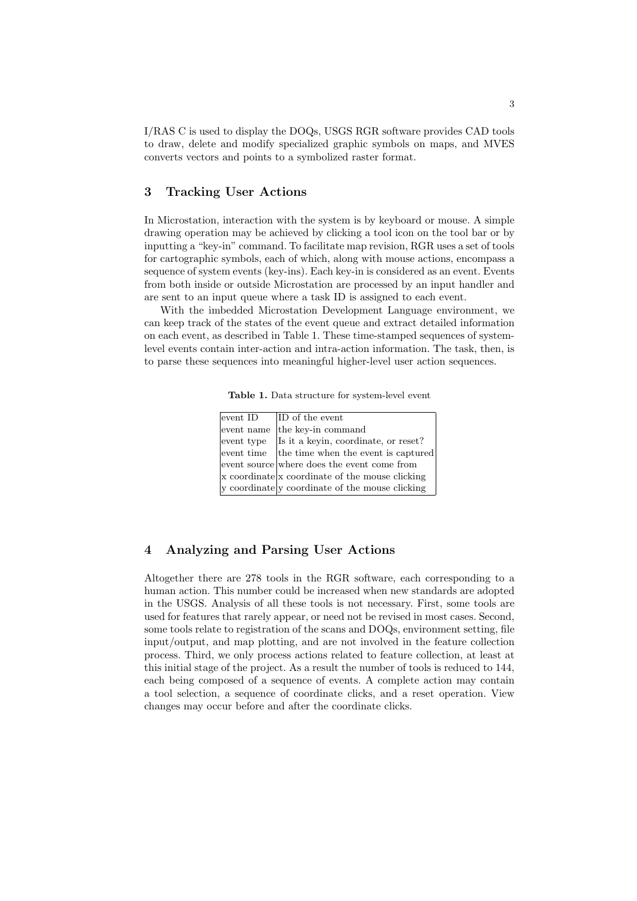I/RAS C is used to display the DOQs, USGS RGR software provides CAD tools to draw, delete and modify specialized graphic symbols on maps, and MVES converts vectors and points to a symbolized raster format.

# 3 Tracking User Actions

In Microstation, interaction with the system is by keyboard or mouse. A simple drawing operation may be achieved by clicking a tool icon on the tool bar or by inputting a "key-in" command. To facilitate map revision, RGR uses a set of tools for cartographic symbols, each of which, along with mouse actions, encompass a sequence of system events (key-ins). Each key-in is considered as an event. Events from both inside or outside Microstation are processed by an input handler and are sent to an input queue where a task ID is assigned to each event.

With the imbedded Microstation Development Language environment, we can keep track of the states of the event queue and extract detailed information on each event, as described in Table 1. These time-stamped sequences of systemlevel events contain inter-action and intra-action information. The task, then, is to parse these sequences into meaningful higher-level user action sequences.

Table 1. Data structure for system-level event

| event ID   | ID of the event                                 |
|------------|-------------------------------------------------|
| event name | the key-in command                              |
| event type | Is it a keyin, coordinate, or reset?            |
|            | event time the time when the event is captured  |
|            | event source where does the event come from     |
|            | x coordinate x coordinate of the mouse clicking |
|            | y coordinate y coordinate of the mouse clicking |

## 4 Analyzing and Parsing User Actions

Altogether there are 278 tools in the RGR software, each corresponding to a human action. This number could be increased when new standards are adopted in the USGS. Analysis of all these tools is not necessary. First, some tools are used for features that rarely appear, or need not be revised in most cases. Second, some tools relate to registration of the scans and DOQs, environment setting, file input/output, and map plotting, and are not involved in the feature collection process. Third, we only process actions related to feature collection, at least at this initial stage of the project. As a result the number of tools is reduced to 144, each being composed of a sequence of events. A complete action may contain a tool selection, a sequence of coordinate clicks, and a reset operation. View changes may occur before and after the coordinate clicks.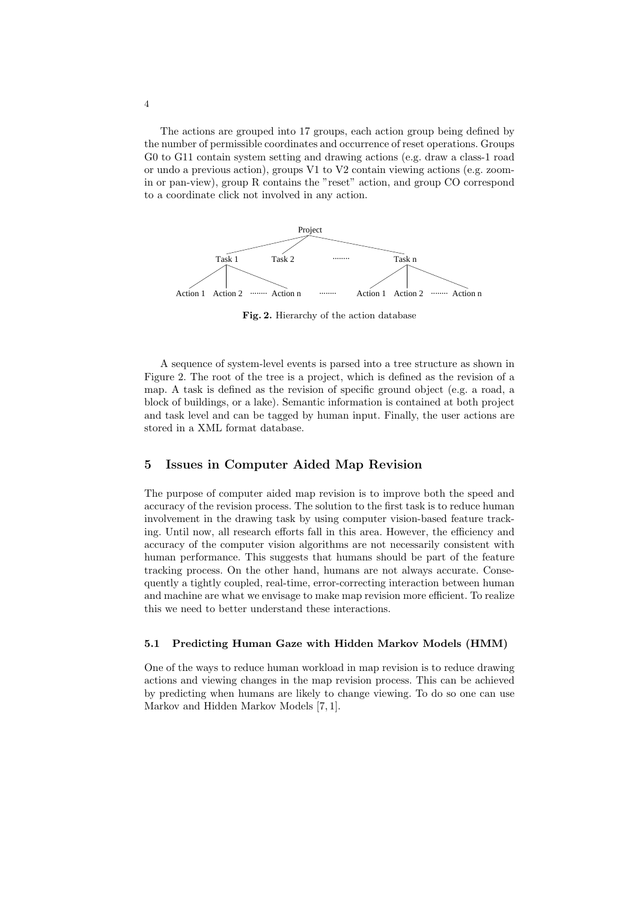The actions are grouped into 17 groups, each action group being defined by the number of permissible coordinates and occurrence of reset operations. Groups G0 to G11 contain system setting and drawing actions (e.g. draw a class-1 road or undo a previous action), groups V1 to V2 contain viewing actions (e.g. zoomin or pan-view), group R contains the "reset" action, and group CO correspond to a coordinate click not involved in any action.



Fig. 2. Hierarchy of the action database

A sequence of system-level events is parsed into a tree structure as shown in Figure 2. The root of the tree is a project, which is defined as the revision of a map. A task is defined as the revision of specific ground object (e.g. a road, a block of buildings, or a lake). Semantic information is contained at both project and task level and can be tagged by human input. Finally, the user actions are stored in a XML format database.

### 5 Issues in Computer Aided Map Revision

The purpose of computer aided map revision is to improve both the speed and accuracy of the revision process. The solution to the first task is to reduce human involvement in the drawing task by using computer vision-based feature tracking. Until now, all research efforts fall in this area. However, the efficiency and accuracy of the computer vision algorithms are not necessarily consistent with human performance. This suggests that humans should be part of the feature tracking process. On the other hand, humans are not always accurate. Consequently a tightly coupled, real-time, error-correcting interaction between human and machine are what we envisage to make map revision more efficient. To realize this we need to better understand these interactions.

#### 5.1 Predicting Human Gaze with Hidden Markov Models (HMM)

One of the ways to reduce human workload in map revision is to reduce drawing actions and viewing changes in the map revision process. This can be achieved by predicting when humans are likely to change viewing. To do so one can use Markov and Hidden Markov Models [7, 1].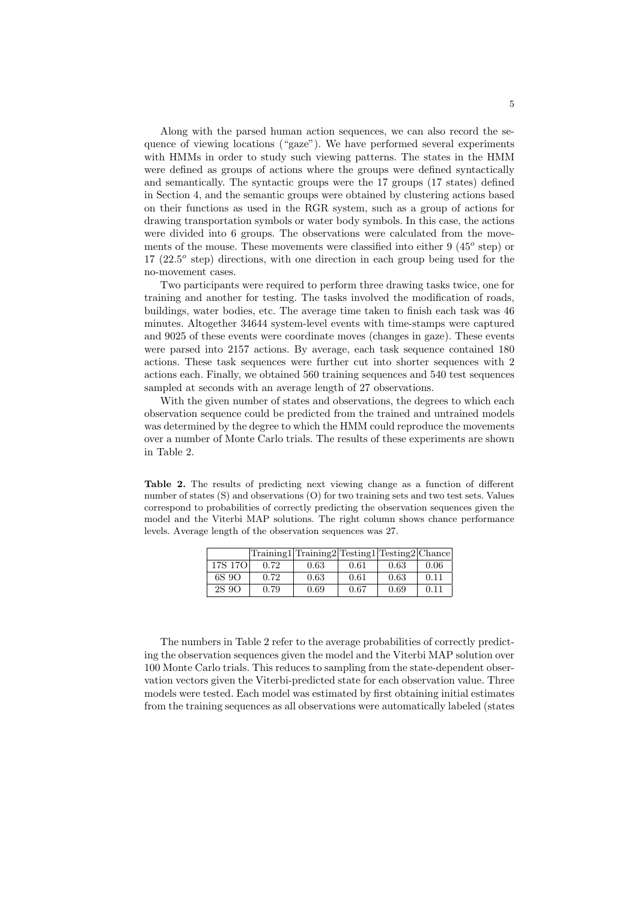Along with the parsed human action sequences, we can also record the sequence of viewing locations ("gaze"). We have performed several experiments with HMMs in order to study such viewing patterns. The states in the HMM were defined as groups of actions where the groups were defined syntactically and semantically. The syntactic groups were the 17 groups (17 states) defined in Section 4, and the semantic groups were obtained by clustering actions based on their functions as used in the RGR system, such as a group of actions for drawing transportation symbols or water body symbols. In this case, the actions were divided into 6 groups. The observations were calculated from the movements of the mouse. These movements were classified into either  $9(45^{\circ}$  step) or  $17$   $(22.5^{\circ}$  step) directions, with one direction in each group being used for the no-movement cases.

Two participants were required to perform three drawing tasks twice, one for training and another for testing. The tasks involved the modification of roads, buildings, water bodies, etc. The average time taken to finish each task was 46 minutes. Altogether 34644 system-level events with time-stamps were captured and 9025 of these events were coordinate moves (changes in gaze). These events were parsed into 2157 actions. By average, each task sequence contained 180 actions. These task sequences were further cut into shorter sequences with 2 actions each. Finally, we obtained 560 training sequences and 540 test sequences sampled at seconds with an average length of 27 observations.

With the given number of states and observations, the degrees to which each observation sequence could be predicted from the trained and untrained models was determined by the degree to which the HMM could reproduce the movements over a number of Monte Carlo trials. The results of these experiments are shown in Table 2.

Table 2. The results of predicting next viewing change as a function of different number of states (S) and observations (O) for two training sets and two test sets. Values correspond to probabilities of correctly predicting the observation sequences given the model and the Viterbi MAP solutions. The right column shows chance performance levels. Average length of the observation sequences was 27.

|         | Training1 Training2 Testing1 Testing2 Chance |      |      |      |      |
|---------|----------------------------------------------|------|------|------|------|
| 17S 17O | 0.72                                         | 0.63 | 0.61 | 0.63 | 0.06 |
| 6S 9O   | 0.72                                         | 0.63 | 0.61 | 0.63 | 0.11 |
| 2S 9O   | 0.79                                         | 0.69 | 0.67 | 0.69 | 0.11 |

The numbers in Table 2 refer to the average probabilities of correctly predicting the observation sequences given the model and the Viterbi MAP solution over 100 Monte Carlo trials. This reduces to sampling from the state-dependent observation vectors given the Viterbi-predicted state for each observation value. Three models were tested. Each model was estimated by first obtaining initial estimates from the training sequences as all observations were automatically labeled (states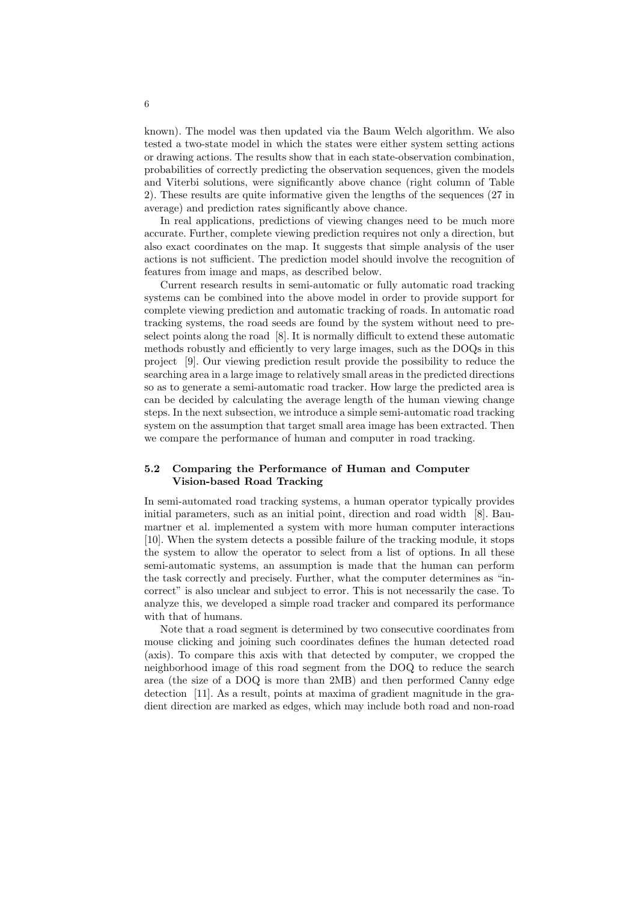known). The model was then updated via the Baum Welch algorithm. We also tested a two-state model in which the states were either system setting actions or drawing actions. The results show that in each state-observation combination, probabilities of correctly predicting the observation sequences, given the models and Viterbi solutions, were significantly above chance (right column of Table 2). These results are quite informative given the lengths of the sequences (27 in average) and prediction rates significantly above chance.

In real applications, predictions of viewing changes need to be much more accurate. Further, complete viewing prediction requires not only a direction, but also exact coordinates on the map. It suggests that simple analysis of the user actions is not sufficient. The prediction model should involve the recognition of features from image and maps, as described below.

Current research results in semi-automatic or fully automatic road tracking systems can be combined into the above model in order to provide support for complete viewing prediction and automatic tracking of roads. In automatic road tracking systems, the road seeds are found by the system without need to preselect points along the road [8]. It is normally difficult to extend these automatic methods robustly and efficiently to very large images, such as the DOQs in this project [9]. Our viewing prediction result provide the possibility to reduce the searching area in a large image to relatively small areas in the predicted directions so as to generate a semi-automatic road tracker. How large the predicted area is can be decided by calculating the average length of the human viewing change steps. In the next subsection, we introduce a simple semi-automatic road tracking system on the assumption that target small area image has been extracted. Then we compare the performance of human and computer in road tracking.

#### 5.2 Comparing the Performance of Human and Computer Vision-based Road Tracking

In semi-automated road tracking systems, a human operator typically provides initial parameters, such as an initial point, direction and road width [8]. Baumartner et al. implemented a system with more human computer interactions [10]. When the system detects a possible failure of the tracking module, it stops the system to allow the operator to select from a list of options. In all these semi-automatic systems, an assumption is made that the human can perform the task correctly and precisely. Further, what the computer determines as "incorrect" is also unclear and subject to error. This is not necessarily the case. To analyze this, we developed a simple road tracker and compared its performance with that of humans.

Note that a road segment is determined by two consecutive coordinates from mouse clicking and joining such coordinates defines the human detected road (axis). To compare this axis with that detected by computer, we cropped the neighborhood image of this road segment from the DOQ to reduce the search area (the size of a DOQ is more than 2MB) and then performed Canny edge detection [11]. As a result, points at maxima of gradient magnitude in the gradient direction are marked as edges, which may include both road and non-road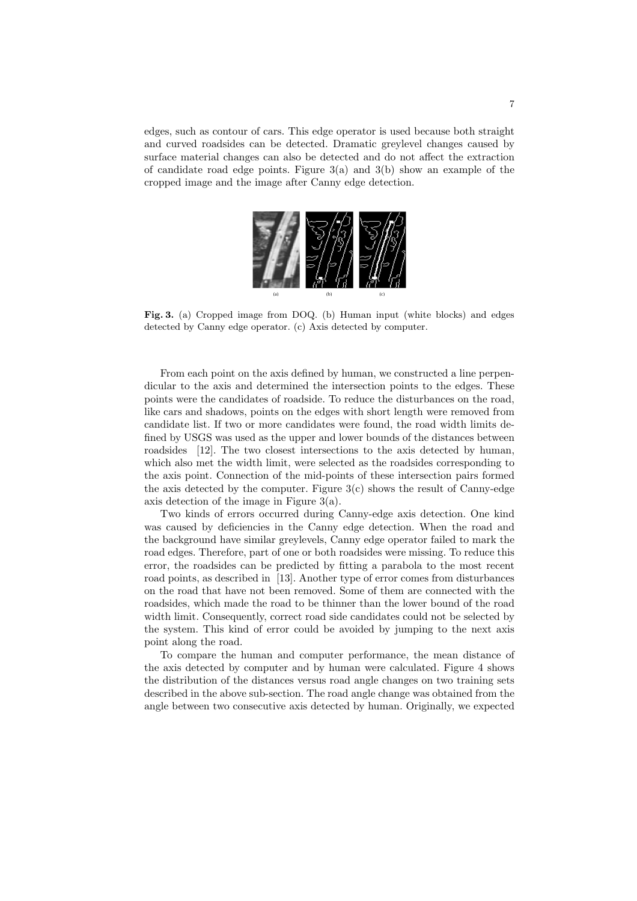edges, such as contour of cars. This edge operator is used because both straight and curved roadsides can be detected. Dramatic greylevel changes caused by surface material changes can also be detected and do not affect the extraction of candidate road edge points. Figure  $3(a)$  and  $3(b)$  show an example of the cropped image and the image after Canny edge detection.



Fig. 3. (a) Cropped image from DOQ. (b) Human input (white blocks) and edges detected by Canny edge operator. (c) Axis detected by computer.

From each point on the axis defined by human, we constructed a line perpendicular to the axis and determined the intersection points to the edges. These points were the candidates of roadside. To reduce the disturbances on the road, like cars and shadows, points on the edges with short length were removed from candidate list. If two or more candidates were found, the road width limits defined by USGS was used as the upper and lower bounds of the distances between roadsides [12]. The two closest intersections to the axis detected by human, which also met the width limit, were selected as the roadsides corresponding to the axis point. Connection of the mid-points of these intersection pairs formed the axis detected by the computer. Figure  $3(c)$  shows the result of Canny-edge axis detection of the image in Figure 3(a).

Two kinds of errors occurred during Canny-edge axis detection. One kind was caused by deficiencies in the Canny edge detection. When the road and the background have similar greylevels, Canny edge operator failed to mark the road edges. Therefore, part of one or both roadsides were missing. To reduce this error, the roadsides can be predicted by fitting a parabola to the most recent road points, as described in [13]. Another type of error comes from disturbances on the road that have not been removed. Some of them are connected with the roadsides, which made the road to be thinner than the lower bound of the road width limit. Consequently, correct road side candidates could not be selected by the system. This kind of error could be avoided by jumping to the next axis point along the road.

To compare the human and computer performance, the mean distance of the axis detected by computer and by human were calculated. Figure 4 shows the distribution of the distances versus road angle changes on two training sets described in the above sub-section. The road angle change was obtained from the angle between two consecutive axis detected by human. Originally, we expected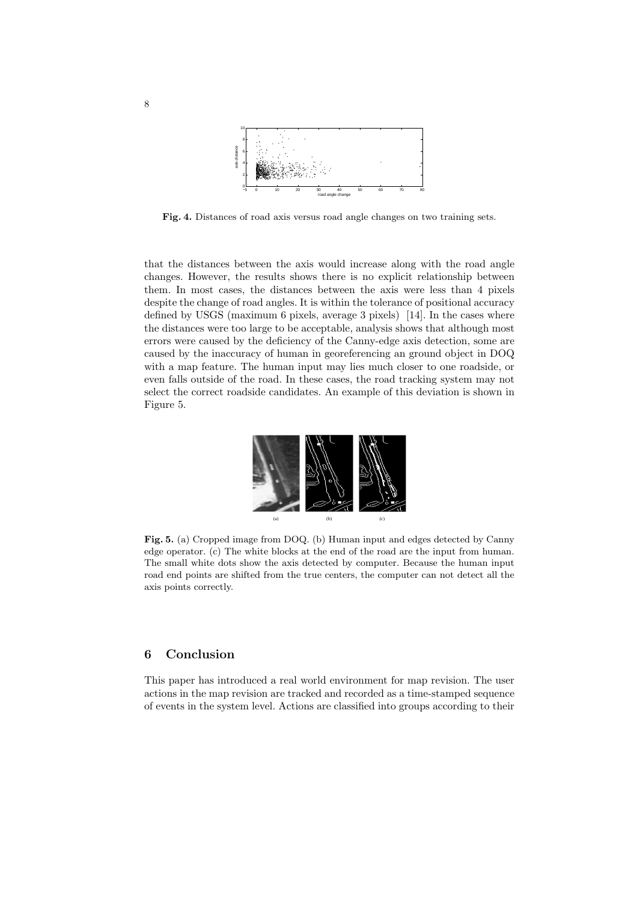

Fig. 4. Distances of road axis versus road angle changes on two training sets.

that the distances between the axis would increase along with the road angle changes. However, the results shows there is no explicit relationship between them. In most cases, the distances between the axis were less than 4 pixels despite the change of road angles. It is within the tolerance of positional accuracy defined by USGS (maximum 6 pixels, average 3 pixels) [14]. In the cases where the distances were too large to be acceptable, analysis shows that although most errors were caused by the deficiency of the Canny-edge axis detection, some are caused by the inaccuracy of human in georeferencing an ground object in DOQ with a map feature. The human input may lies much closer to one roadside, or even falls outside of the road. In these cases, the road tracking system may not select the correct roadside candidates. An example of this deviation is shown in Figure 5.



Fig. 5. (a) Cropped image from DOQ. (b) Human input and edges detected by Canny edge operator. (c) The white blocks at the end of the road are the input from human. The small white dots show the axis detected by computer. Because the human input road end points are shifted from the true centers, the computer can not detect all the axis points correctly.

## 6 Conclusion

This paper has introduced a real world environment for map revision. The user actions in the map revision are tracked and recorded as a time-stamped sequence of events in the system level. Actions are classified into groups according to their